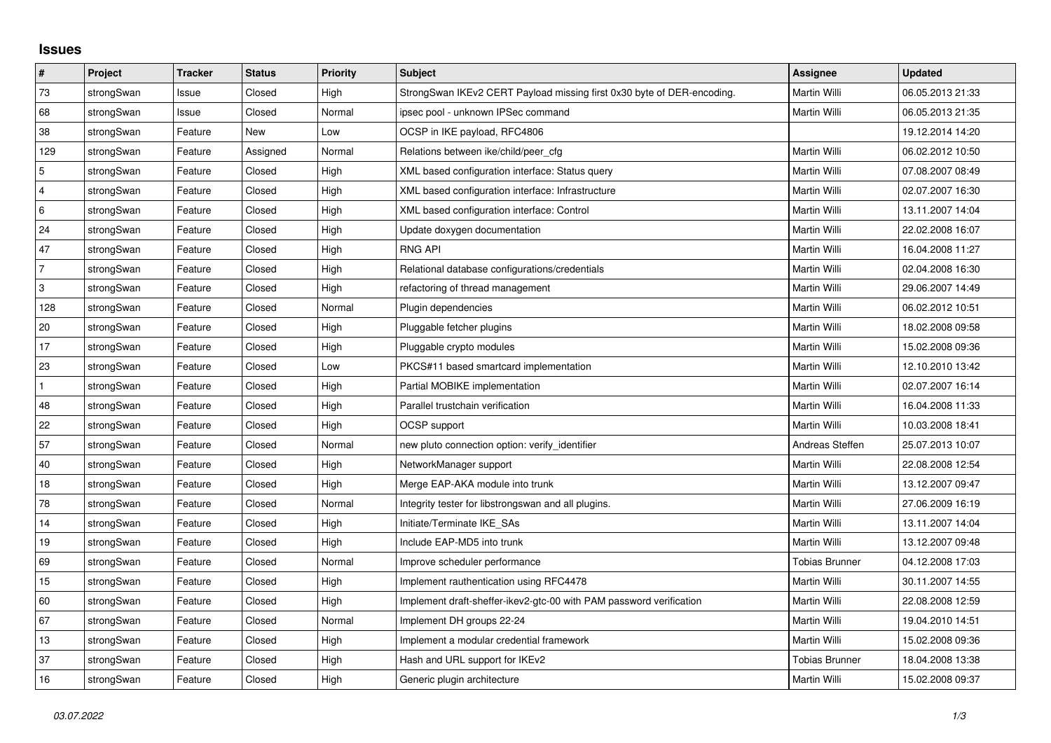## **Issues**

| #                         | Project    | <b>Tracker</b> | <b>Status</b> | <b>Priority</b> | <b>Subject</b>                                                         | <b>Assignee</b>       | <b>Updated</b>   |
|---------------------------|------------|----------------|---------------|-----------------|------------------------------------------------------------------------|-----------------------|------------------|
| 73                        | strongSwan | Issue          | Closed        | High            | StrongSwan IKEv2 CERT Payload missing first 0x30 byte of DER-encoding. | <b>Martin Willi</b>   | 06.05.2013 21:33 |
| 68                        | strongSwan | Issue          | Closed        | Normal          | ipsec pool - unknown IPSec command                                     | Martin Willi          | 06.05.2013 21:35 |
| $38\,$                    | strongSwan | Feature        | <b>New</b>    | Low             | OCSP in IKE payload, RFC4806                                           |                       | 19.12.2014 14:20 |
| 129                       | strongSwan | Feature        | Assigned      | Normal          | Relations between ike/child/peer cfg                                   | Martin Willi          | 06.02.2012 10:50 |
| 5                         | strongSwan | Feature        | Closed        | High            | XML based configuration interface: Status query                        | Martin Willi          | 07.08.2007 08:49 |
| 4                         | strongSwan | Feature        | Closed        | High            | XML based configuration interface: Infrastructure                      | <b>Martin Willi</b>   | 02.07.2007 16:30 |
| 6                         | strongSwan | Feature        | Closed        | High            | XML based configuration interface: Control                             | Martin Willi          | 13.11.2007 14:04 |
| 24                        | strongSwan | Feature        | Closed        | High            | Update doxygen documentation                                           | Martin Willi          | 22.02.2008 16:07 |
| 47                        | strongSwan | Feature        | Closed        | High            | <b>RNG API</b>                                                         | Martin Willi          | 16.04.2008 11:27 |
| $\overline{7}$            | strongSwan | Feature        | Closed        | High            | Relational database configurations/credentials                         | Martin Willi          | 02.04.2008 16:30 |
| $\ensuremath{\mathsf{3}}$ | strongSwan | Feature        | Closed        | High            | refactoring of thread management                                       | Martin Willi          | 29.06.2007 14:49 |
| 128                       | strongSwan | Feature        | Closed        | Normal          | Plugin dependencies                                                    | Martin Willi          | 06.02.2012 10:51 |
| 20                        | strongSwan | Feature        | Closed        | High            | Pluggable fetcher plugins                                              | Martin Willi          | 18.02.2008 09:58 |
| 17                        | strongSwan | Feature        | Closed        | High            | Pluggable crypto modules                                               | Martin Willi          | 15.02.2008 09:36 |
| 23                        | strongSwan | Feature        | Closed        | Low             | PKCS#11 based smartcard implementation                                 | Martin Willi          | 12.10.2010 13:42 |
| $\mathbf{1}$              | strongSwan | Feature        | Closed        | High            | Partial MOBIKE implementation                                          | Martin Willi          | 02.07.2007 16:14 |
| 48                        | strongSwan | Feature        | Closed        | High            | Parallel trustchain verification                                       | Martin Willi          | 16.04.2008 11:33 |
| 22                        | strongSwan | Feature        | Closed        | High            | <b>OCSP</b> support                                                    | Martin Willi          | 10.03.2008 18:41 |
| 57                        | strongSwan | Feature        | Closed        | Normal          | new pluto connection option: verify_identifier                         | Andreas Steffen       | 25.07.2013 10:07 |
| 40                        | strongSwan | Feature        | Closed        | High            | NetworkManager support                                                 | Martin Willi          | 22.08.2008 12:54 |
| $18\,$                    | strongSwan | Feature        | Closed        | High            | Merge EAP-AKA module into trunk                                        | Martin Willi          | 13.12.2007 09:47 |
| 78                        | strongSwan | Feature        | Closed        | Normal          | Integrity tester for libstrongswan and all plugins.                    | Martin Willi          | 27.06.2009 16:19 |
| 14                        | strongSwan | Feature        | Closed        | High            | Initiate/Terminate IKE_SAs                                             | Martin Willi          | 13.11.2007 14:04 |
| 19                        | strongSwan | Feature        | Closed        | High            | Include EAP-MD5 into trunk                                             | Martin Willi          | 13.12.2007 09:48 |
| 69                        | strongSwan | Feature        | Closed        | Normal          | Improve scheduler performance                                          | <b>Tobias Brunner</b> | 04.12.2008 17:03 |
| 15                        | strongSwan | Feature        | Closed        | High            | Implement rauthentication using RFC4478                                | Martin Willi          | 30.11.2007 14:55 |
| 60                        | strongSwan | Feature        | Closed        | High            | Implement draft-sheffer-ikev2-gtc-00 with PAM password verification    | Martin Willi          | 22.08.2008 12:59 |
| 67                        | strongSwan | Feature        | Closed        | Normal          | Implement DH groups 22-24                                              | Martin Willi          | 19.04.2010 14:51 |
| 13                        | strongSwan | Feature        | Closed        | High            | Implement a modular credential framework                               | Martin Willi          | 15.02.2008 09:36 |
| 37                        | strongSwan | Feature        | Closed        | High            | Hash and URL support for IKEv2                                         | <b>Tobias Brunner</b> | 18.04.2008 13:38 |
| 16                        | strongSwan | Feature        | Closed        | High            | Generic plugin architecture                                            | Martin Willi          | 15.02.2008 09:37 |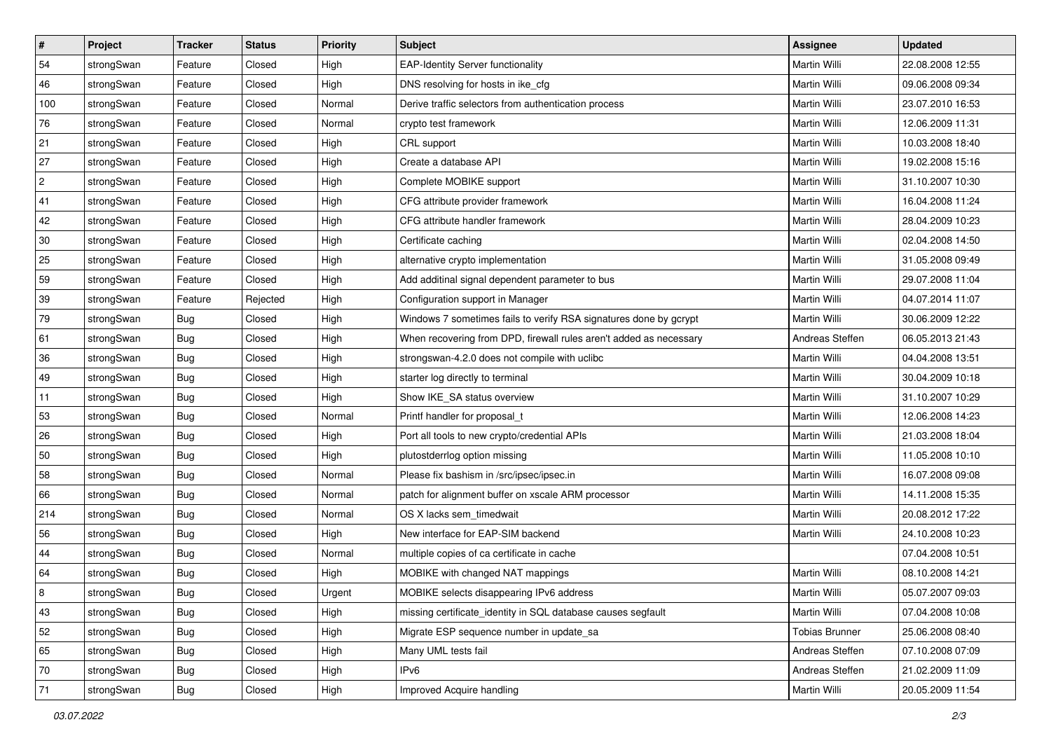| $\vert$ #      | Project    | <b>Tracker</b> | <b>Status</b> | Priority | <b>Subject</b>                                                     | <b>Assignee</b>       | <b>Updated</b>   |
|----------------|------------|----------------|---------------|----------|--------------------------------------------------------------------|-----------------------|------------------|
| 54             | strongSwan | Feature        | Closed        | High     | <b>EAP-Identity Server functionality</b>                           | Martin Willi          | 22.08.2008 12:55 |
| 46             | strongSwan | Feature        | Closed        | High     | DNS resolving for hosts in ike_cfg                                 | Martin Willi          | 09.06.2008 09:34 |
| 100            | strongSwan | Feature        | Closed        | Normal   | Derive traffic selectors from authentication process               | Martin Willi          | 23.07.2010 16:53 |
| 76             | strongSwan | Feature        | Closed        | Normal   | crypto test framework                                              | Martin Willi          | 12.06.2009 11:31 |
| 21             | strongSwan | Feature        | Closed        | High     | CRL support                                                        | Martin Willi          | 10.03.2008 18:40 |
| 27             | strongSwan | Feature        | Closed        | High     | Create a database API                                              | Martin Willi          | 19.02.2008 15:16 |
| $\overline{2}$ | strongSwan | Feature        | Closed        | High     | Complete MOBIKE support                                            | Martin Willi          | 31.10.2007 10:30 |
| 41             | strongSwan | Feature        | Closed        | High     | CFG attribute provider framework                                   | <b>Martin Willi</b>   | 16.04.2008 11:24 |
| 42             | strongSwan | Feature        | Closed        | High     | CFG attribute handler framework                                    | Martin Willi          | 28.04.2009 10:23 |
| 30             | strongSwan | Feature        | Closed        | High     | Certificate caching                                                | Martin Willi          | 02.04.2008 14:50 |
| 25             | strongSwan | Feature        | Closed        | High     | alternative crypto implementation                                  | Martin Willi          | 31.05.2008 09:49 |
| 59             | strongSwan | Feature        | Closed        | High     | Add additinal signal dependent parameter to bus                    | <b>Martin Willi</b>   | 29.07.2008 11:04 |
| 39             | strongSwan | Feature        | Rejected      | High     | Configuration support in Manager                                   | Martin Willi          | 04.07.2014 11:07 |
| 79             | strongSwan | <b>Bug</b>     | Closed        | High     | Windows 7 sometimes fails to verify RSA signatures done by gcrypt  | Martin Willi          | 30.06.2009 12:22 |
| 61             | strongSwan | Bug            | Closed        | High     | When recovering from DPD, firewall rules aren't added as necessary | Andreas Steffen       | 06.05.2013 21:43 |
| 36             | strongSwan | <b>Bug</b>     | Closed        | High     | strongswan-4.2.0 does not compile with uclibc                      | Martin Willi          | 04.04.2008 13:51 |
| 49             | strongSwan | <b>Bug</b>     | Closed        | High     | starter log directly to terminal                                   | Martin Willi          | 30.04.2009 10:18 |
| 11             | strongSwan | Bug            | Closed        | High     | Show IKE_SA status overview                                        | Martin Willi          | 31.10.2007 10:29 |
| 53             | strongSwan | <b>Bug</b>     | Closed        | Normal   | Printf handler for proposal t                                      | Martin Willi          | 12.06.2008 14:23 |
| 26             | strongSwan | Bug            | Closed        | High     | Port all tools to new crypto/credential APIs                       | Martin Willi          | 21.03.2008 18:04 |
| 50             | strongSwan | <b>Bug</b>     | Closed        | High     | plutostderrlog option missing                                      | Martin Willi          | 11.05.2008 10:10 |
| 58             | strongSwan | <b>Bug</b>     | Closed        | Normal   | Please fix bashism in /src/ipsec/ipsec.in                          | Martin Willi          | 16.07.2008 09:08 |
| 66             | strongSwan | Bug            | Closed        | Normal   | patch for alignment buffer on xscale ARM processor                 | Martin Willi          | 14.11.2008 15:35 |
| 214            | strongSwan | <b>Bug</b>     | Closed        | Normal   | OS X lacks sem timedwait                                           | Martin Willi          | 20.08.2012 17:22 |
| 56             | strongSwan | <b>Bug</b>     | Closed        | High     | New interface for EAP-SIM backend                                  | Martin Willi          | 24.10.2008 10:23 |
| 44             | strongSwan | <b>Bug</b>     | Closed        | Normal   | multiple copies of ca certificate in cache                         |                       | 07.04.2008 10:51 |
| 64             | strongSwan | Bug            | Closed        | High     | MOBIKE with changed NAT mappings                                   | Martin Willi          | 08.10.2008 14:21 |
| $\bf 8$        | strongSwan | Bug            | Closed        | Urgent   | MOBIKE selects disappearing IPv6 address                           | Martin Willi          | 05.07.2007 09:03 |
| 43             | strongSwan | Bug            | Closed        | High     | missing certificate_identity in SQL database causes segfault       | Martin Willi          | 07.04.2008 10:08 |
| 52             | strongSwan | Bug            | Closed        | High     | Migrate ESP sequence number in update_sa                           | <b>Tobias Brunner</b> | 25.06.2008 08:40 |
| 65             | strongSwan | Bug            | Closed        | High     | Many UML tests fail                                                | Andreas Steffen       | 07.10.2008 07:09 |
| 70             | strongSwan | Bug            | Closed        | High     | IP <sub>v6</sub>                                                   | Andreas Steffen       | 21.02.2009 11:09 |
| 71             | strongSwan | <b>Bug</b>     | Closed        | High     | Improved Acquire handling                                          | Martin Willi          | 20.05.2009 11:54 |